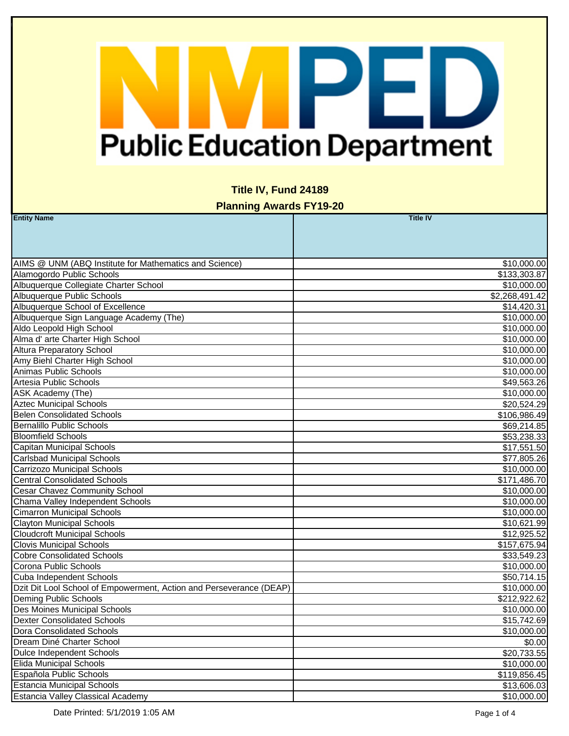| <b>Entity Name</b>                                                  | <b>Title IV</b> |
|---------------------------------------------------------------------|-----------------|
|                                                                     |                 |
|                                                                     |                 |
| Alamogordo Public Schools                                           | \$133,303.87    |
| Albuquerque Collegiate Charter School                               | \$10,000.00     |
| Albuquerque Public Schools                                          | \$2,268,491.42  |
| Albuquerque School of Excellence                                    | \$14,420.31     |
| Albuquerque Sign Language Academy (The)                             | \$10,000.00     |
| Aldo Leopold High School                                            | \$10,000.00     |
| Alma d' arte Charter High School                                    | \$10,000.00     |
| <b>Altura Preparatory School</b>                                    | \$10,000.00     |
| Amy Biehl Charter High School                                       | \$10,000.00     |
| Animas Public Schools                                               | \$10,000.00     |
| Artesia Public Schools                                              | \$49,563.26     |
| ASK Academy (The)                                                   | \$10,000.00     |
| <b>Aztec Municipal Schools</b>                                      | \$20,524.29     |
| <b>Belen Consolidated Schools</b>                                   | \$106,986.49    |
| <b>Bernalillo Public Schools</b>                                    | \$69,214.85     |
| <b>Bloomfield Schools</b>                                           | \$53,238.33     |
| Capitan Municipal Schools                                           | \$17,551.50     |
| <b>Carlsbad Municipal Schools</b>                                   | \$77,805.26     |
| Carrizozo Municipal Schools                                         | \$10,000.00     |
| <b>Central Consolidated Schools</b>                                 | \$171,486.70    |
| <b>Cesar Chavez Community School</b>                                | \$10,000.00     |
| Chama Valley Independent Schools                                    | \$10,000.00     |
| <b>Cimarron Municipal Schools</b>                                   | \$10,000.00     |
| <b>Clayton Municipal Schools</b>                                    | \$10,621.99     |
| <b>Cloudcroft Municipal Schools</b>                                 | \$12,925.52     |
| <b>Clovis Municipal Schools</b>                                     | \$157,675.94    |
| <b>Cobre Consolidated Schools</b>                                   | \$33,549.23     |
| Corona Public Schools                                               | \$10,000.00     |
| <b>Cuba Independent Schools</b>                                     | \$50,714.15     |
| Dzit Dit Lool School of Empowerment, Action and Perseverance (DEAP) | \$10,000.00     |
| Deming Public Schools                                               | \$212,922.62    |
| Des Moines Municipal Schools                                        | \$10,000.00     |
| <b>Dexter Consolidated Schools</b>                                  | \$15,742.69     |
| Dora Consolidated Schools                                           | \$10,000.00     |
| Dream Diné Charter School                                           | \$0.00          |
| Dulce Independent Schools                                           | \$20,733.55     |
| <b>Elida Municipal Schools</b>                                      | \$10,000.00     |
| Española Public Schools                                             | \$119,856.45    |
| <b>Estancia Municipal Schools</b>                                   | \$13,606.03     |
| <b>Estancia Valley Classical Academy</b>                            | \$10,000.00     |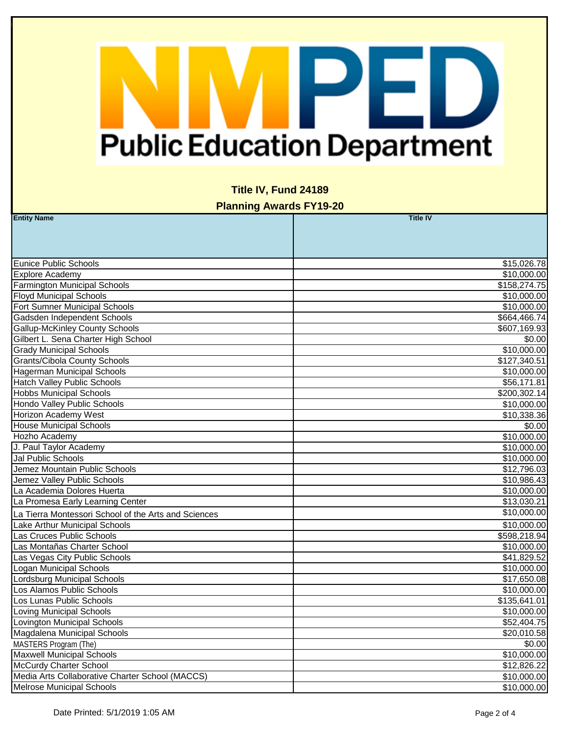| <b>Entity Name</b>                                   | <b>Title IV</b> |
|------------------------------------------------------|-----------------|
|                                                      |                 |
|                                                      |                 |
| Eunice Public Schools                                | \$15,026.78     |
| Explore Academy                                      | \$10,000.00     |
| <b>Farmington Municipal Schools</b>                  | \$158,274.75    |
| <b>Floyd Municipal Schools</b>                       | \$10,000.00     |
| Fort Sumner Municipal Schools                        | \$10,000.00     |
| Gadsden Independent Schools                          | \$664,466.74    |
| <b>Gallup-McKinley County Schools</b>                | \$607,169.93    |
| Gilbert L. Sena Charter High School                  | \$0.00          |
| <b>Grady Municipal Schools</b>                       | \$10,000.00     |
| <b>Grants/Cibola County Schools</b>                  | \$127,340.51    |
| <b>Hagerman Municipal Schools</b>                    | \$10,000.00     |
| <b>Hatch Valley Public Schools</b>                   | \$56,171.81     |
| <b>Hobbs Municipal Schools</b>                       | \$200,302.14    |
| Hondo Valley Public Schools                          | \$10,000.00     |
| <b>Horizon Academy West</b>                          | \$10,338.36     |
| <b>House Municipal Schools</b>                       | \$0.00          |
| Hozho Academy                                        | \$10,000.00     |
| J. Paul Taylor Academy                               | \$10,000.00     |
| Jal Public Schools                                   | \$10,000.00     |
| Jemez Mountain Public Schools                        | \$12,796.03     |
| Jemez Valley Public Schools                          | \$10,986.43     |
| La Academia Dolores Huerta                           | \$10,000.00     |
| La Promesa Early Learning Center                     | \$13,030.21     |
| La Tierra Montessori School of the Arts and Sciences | \$10,000.00     |
| Lake Arthur Municipal Schools                        | \$10,000.00     |
| Las Cruces Public Schools                            | \$598,218.94    |
| Las Montañas Charter School                          | \$10,000.00     |
| Las Vegas City Public Schools                        | \$41,829.52     |
| <b>Logan Municipal Schools</b>                       | \$10,000.00     |
| Lordsburg Municipal Schools                          | \$17,650.08     |
| Los Alamos Public Schools                            | \$10,000.00     |
| Los Lunas Public Schools                             | \$135,641.01    |
| Loving Municipal Schools                             | \$10,000.00     |
| <b>Lovington Municipal Schools</b>                   | \$52,404.75     |
| Magdalena Municipal Schools                          | \$20,010.58     |
| MASTERS Program (The)                                | \$0.00          |
| <b>Maxwell Municipal Schools</b>                     | \$10,000.00     |
| <b>McCurdy Charter School</b>                        | \$12,826.22     |
| Media Arts Collaborative Charter School (MACCS)      | \$10,000.00     |
| <b>Melrose Municipal Schools</b>                     | \$10,000.00     |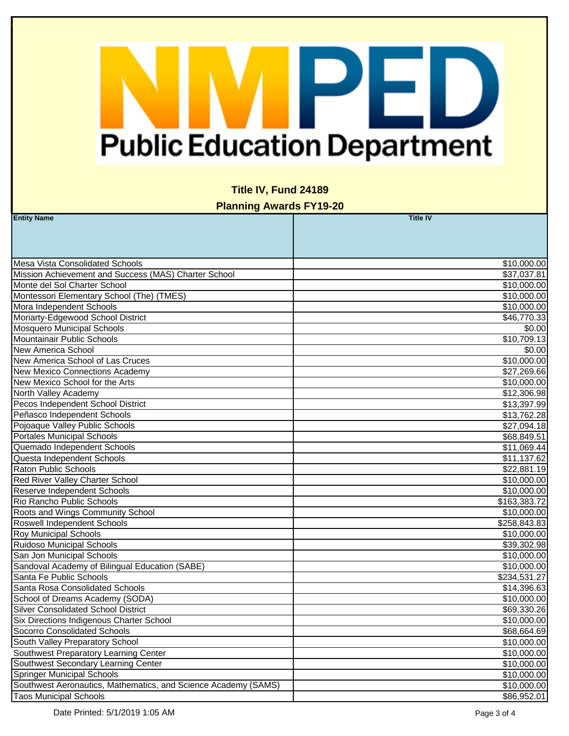| <b>Entity Name</b>                                             | <b>Title IV</b> |  |
|----------------------------------------------------------------|-----------------|--|
|                                                                |                 |  |
|                                                                |                 |  |
|                                                                |                 |  |
| Mesa Vista Consolidated Schools                                | \$10,000.00     |  |
| Mission Achievement and Success (MAS) Charter School           | \$37,037.81     |  |
| Monte del Sol Charter School                                   | \$10,000.00     |  |
| Montessori Elementary School (The) (TMES)                      | \$10,000.00     |  |
| Mora Independent Schools                                       | \$10,000.00     |  |
| Moriarty-Edgewood School District                              | \$46,770.33     |  |
| <b>Mosquero Municipal Schools</b>                              | \$0.00          |  |
| Mountainair Public Schools                                     | \$10,709.13     |  |
| <b>New America School</b>                                      | \$0.00          |  |
| New America School of Las Cruces                               | \$10,000.00     |  |
| <b>New Mexico Connections Academy</b>                          | \$27,269.66     |  |
| New Mexico School for the Arts                                 | \$10,000.00     |  |
| North Valley Academy                                           | \$12,306.98     |  |
| Pecos Independent School District                              | \$13,397.99     |  |
| Peñasco Independent Schools                                    | \$13,762.28     |  |
| Pojoaque Valley Public Schools                                 | \$27,094.18     |  |
| Portales Municipal Schools                                     | \$68,849.51     |  |
| Quemado Independent Schools                                    | \$11,069.44     |  |
| Questa Independent Schools                                     | \$11,137.62     |  |
| <b>Raton Public Schools</b>                                    | \$22,881.19     |  |
| <b>Red River Valley Charter School</b>                         | \$10,000.00     |  |
| Reserve Independent Schools                                    | \$10,000.00     |  |
| Rio Rancho Public Schools                                      | \$163,383.72    |  |
| Roots and Wings Community School                               | \$10,000.00     |  |
| Roswell Independent Schools                                    | \$258,843.83    |  |
| <b>Roy Municipal Schools</b>                                   | \$10,000.00     |  |
| Ruidoso Municipal Schools                                      | \$39,302.98     |  |
| San Jon Municipal Schools                                      | \$10,000.00     |  |
| Sandoval Academy of Bilingual Education (SABE)                 | \$10,000.00     |  |
| Santa Fe Public Schools                                        | \$234,531.27    |  |
| Santa Rosa Consolidated Schools                                | \$14,396.63     |  |
| School of Dreams Academy (SODA)                                | \$10,000.00     |  |
| Silver Consolidated School District                            | \$69,330.26     |  |
| Six Directions Indigenous Charter School                       | \$10,000.00     |  |
| Socorro Consolidated Schools                                   | \$68,664.69     |  |
| South Valley Preparatory School                                | \$10,000.00     |  |
| Southwest Preparatory Learning Center                          | \$10,000.00     |  |
| Southwest Secondary Learning Center                            | \$10,000.00     |  |
| <b>Springer Municipal Schools</b>                              | \$10,000.00     |  |
| Southwest Aeronautics, Mathematics, and Science Academy (SAMS) | \$10,000.00     |  |
| <b>Taos Municipal Schools</b>                                  | \$86,952.01     |  |